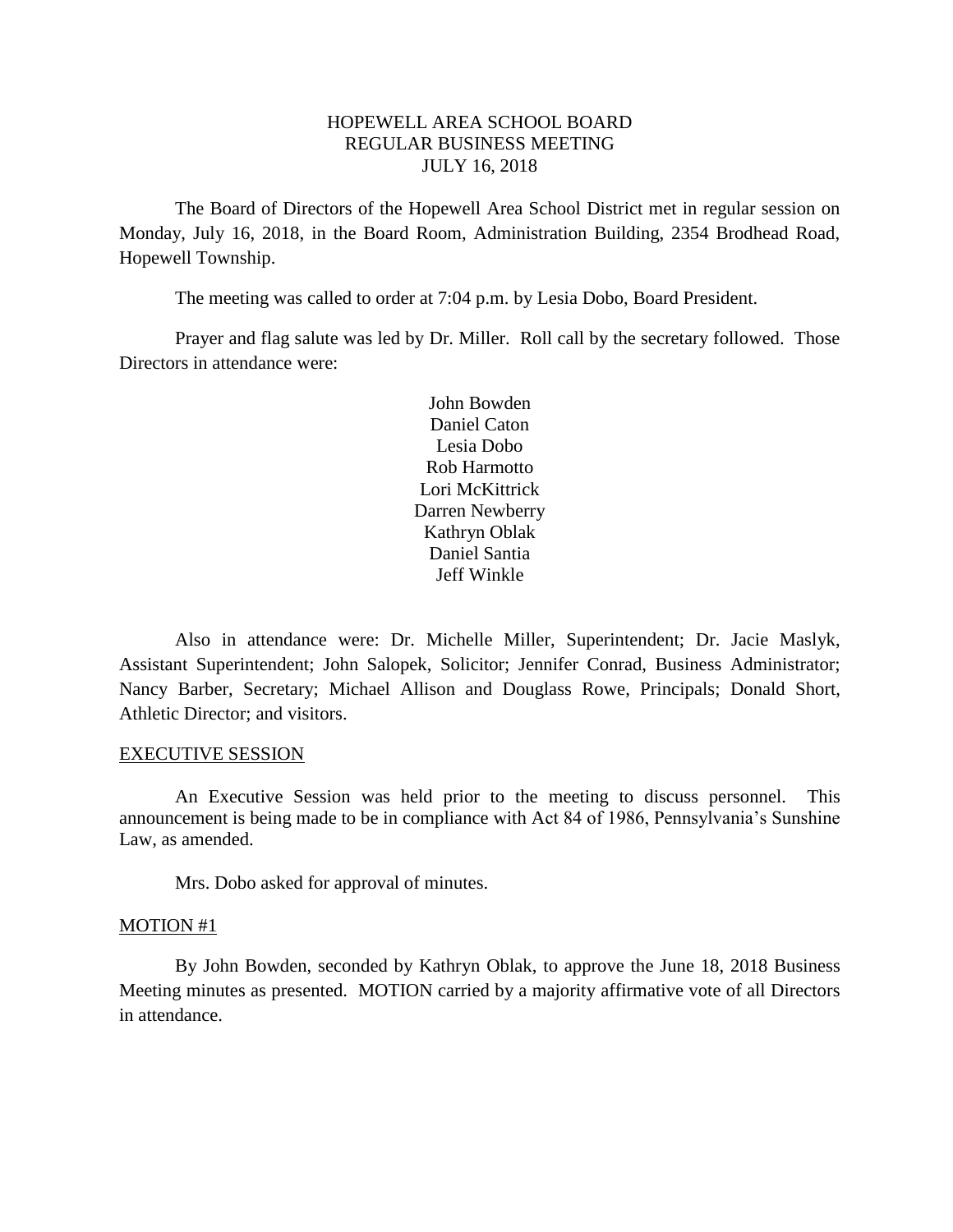# HOPEWELL AREA SCHOOL BOARD REGULAR BUSINESS MEETING JULY 16, 2018

The Board of Directors of the Hopewell Area School District met in regular session on Monday, July 16, 2018, in the Board Room, Administration Building, 2354 Brodhead Road, Hopewell Township.

The meeting was called to order at 7:04 p.m. by Lesia Dobo, Board President.

Prayer and flag salute was led by Dr. Miller. Roll call by the secretary followed. Those Directors in attendance were:

> John Bowden Daniel Caton Lesia Dobo Rob Harmotto Lori McKittrick Darren Newberry Kathryn Oblak Daniel Santia Jeff Winkle

Also in attendance were: Dr. Michelle Miller, Superintendent; Dr. Jacie Maslyk, Assistant Superintendent; John Salopek, Solicitor; Jennifer Conrad, Business Administrator; Nancy Barber, Secretary; Michael Allison and Douglass Rowe, Principals; Donald Short, Athletic Director; and visitors.

## EXECUTIVE SESSION

An Executive Session was held prior to the meeting to discuss personnel. This announcement is being made to be in compliance with Act 84 of 1986, Pennsylvania's Sunshine Law, as amended.

Mrs. Dobo asked for approval of minutes.

#### MOTION #1

By John Bowden, seconded by Kathryn Oblak, to approve the June 18, 2018 Business Meeting minutes as presented. MOTION carried by a majority affirmative vote of all Directors in attendance.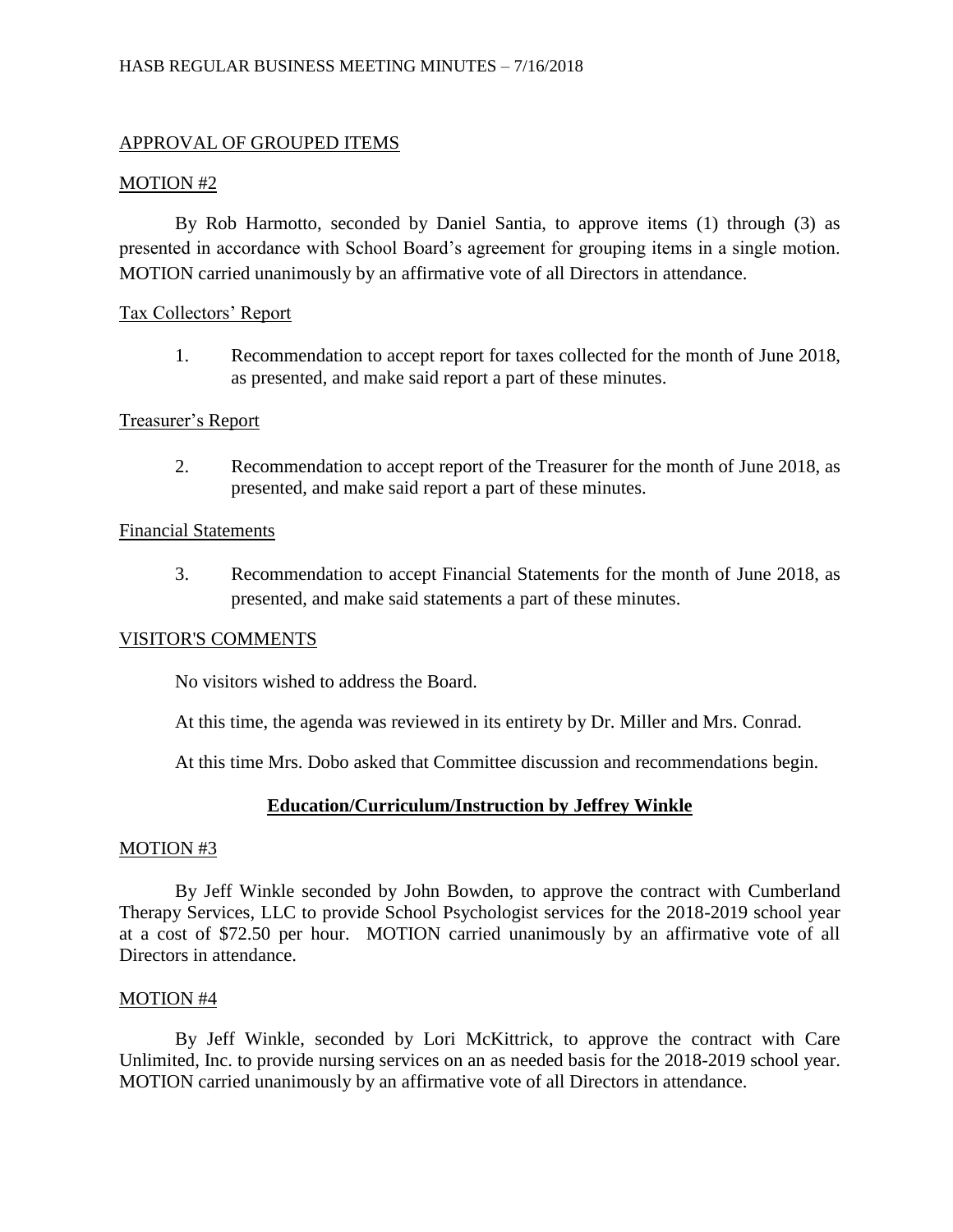# APPROVAL OF GROUPED ITEMS

## MOTION #2

By Rob Harmotto, seconded by Daniel Santia, to approve items (1) through (3) as presented in accordance with School Board's agreement for grouping items in a single motion. MOTION carried unanimously by an affirmative vote of all Directors in attendance.

## Tax Collectors' Report

1. Recommendation to accept report for taxes collected for the month of June 2018, as presented, and make said report a part of these minutes.

## Treasurer's Report

2. Recommendation to accept report of the Treasurer for the month of June 2018, as presented, and make said report a part of these minutes.

#### Financial Statements

3. Recommendation to accept Financial Statements for the month of June 2018, as presented, and make said statements a part of these minutes.

## VISITOR'S COMMENTS

No visitors wished to address the Board.

At this time, the agenda was reviewed in its entirety by Dr. Miller and Mrs. Conrad.

At this time Mrs. Dobo asked that Committee discussion and recommendations begin.

## **Education/Curriculum/Instruction by Jeffrey Winkle**

#### MOTION #3

By Jeff Winkle seconded by John Bowden, to approve the contract with Cumberland Therapy Services, LLC to provide School Psychologist services for the 2018-2019 school year at a cost of \$72.50 per hour. MOTION carried unanimously by an affirmative vote of all Directors in attendance.

#### MOTION #4

By Jeff Winkle, seconded by Lori McKittrick, to approve the contract with Care Unlimited, Inc. to provide nursing services on an as needed basis for the 2018-2019 school year. MOTION carried unanimously by an affirmative vote of all Directors in attendance.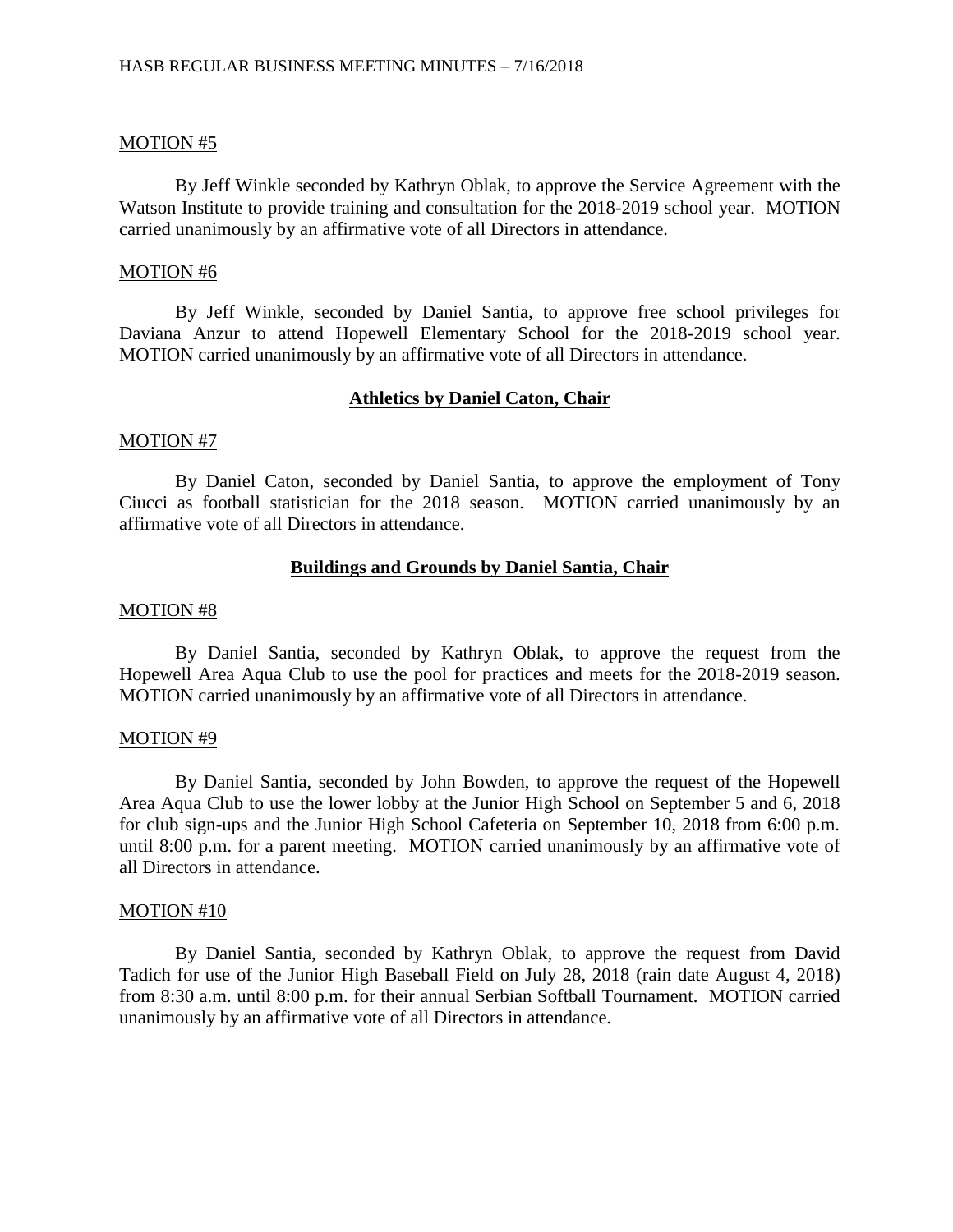#### MOTION #5

By Jeff Winkle seconded by Kathryn Oblak, to approve the Service Agreement with the Watson Institute to provide training and consultation for the 2018-2019 school year. MOTION carried unanimously by an affirmative vote of all Directors in attendance.

#### MOTION #6

By Jeff Winkle, seconded by Daniel Santia, to approve free school privileges for Daviana Anzur to attend Hopewell Elementary School for the 2018-2019 school year. MOTION carried unanimously by an affirmative vote of all Directors in attendance.

#### **Athletics by Daniel Caton, Chair**

#### MOTION #7

By Daniel Caton, seconded by Daniel Santia, to approve the employment of Tony Ciucci as football statistician for the 2018 season. MOTION carried unanimously by an affirmative vote of all Directors in attendance.

#### **Buildings and Grounds by Daniel Santia, Chair**

#### MOTION #8

By Daniel Santia, seconded by Kathryn Oblak, to approve the request from the Hopewell Area Aqua Club to use the pool for practices and meets for the 2018-2019 season. MOTION carried unanimously by an affirmative vote of all Directors in attendance.

#### MOTION #9

By Daniel Santia, seconded by John Bowden, to approve the request of the Hopewell Area Aqua Club to use the lower lobby at the Junior High School on September 5 and 6, 2018 for club sign-ups and the Junior High School Cafeteria on September 10, 2018 from 6:00 p.m. until 8:00 p.m. for a parent meeting. MOTION carried unanimously by an affirmative vote of all Directors in attendance.

#### MOTION #10

By Daniel Santia, seconded by Kathryn Oblak, to approve the request from David Tadich for use of the Junior High Baseball Field on July 28, 2018 (rain date August 4, 2018) from 8:30 a.m. until 8:00 p.m. for their annual Serbian Softball Tournament. MOTION carried unanimously by an affirmative vote of all Directors in attendance.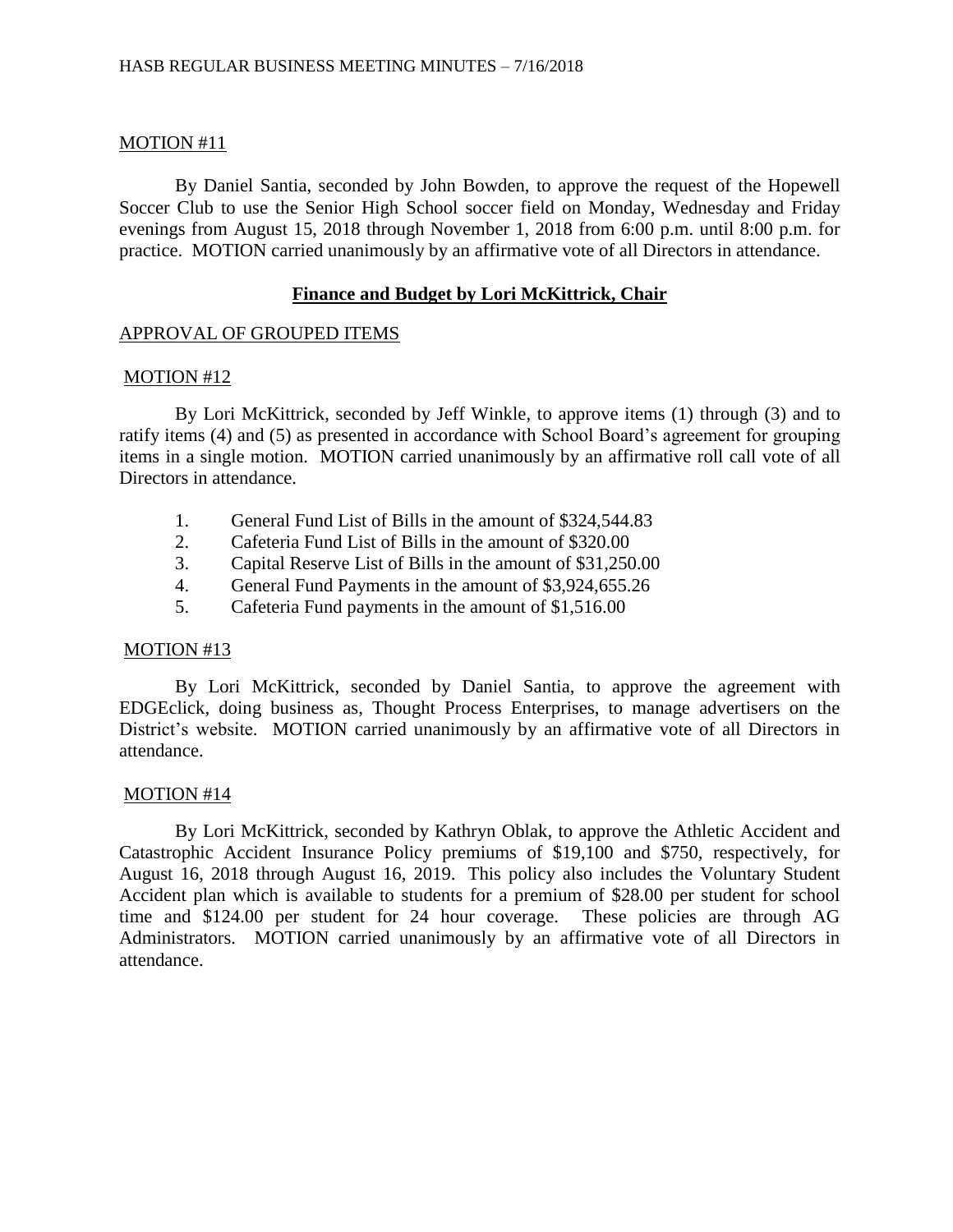# MOTION #11

By Daniel Santia, seconded by John Bowden, to approve the request of the Hopewell Soccer Club to use the Senior High School soccer field on Monday, Wednesday and Friday evenings from August 15, 2018 through November 1, 2018 from 6:00 p.m. until 8:00 p.m. for practice. MOTION carried unanimously by an affirmative vote of all Directors in attendance.

# **Finance and Budget by Lori McKittrick, Chair**

## APPROVAL OF GROUPED ITEMS

## MOTION #12

By Lori McKittrick, seconded by Jeff Winkle, to approve items (1) through (3) and to ratify items (4) and (5) as presented in accordance with School Board's agreement for grouping items in a single motion. MOTION carried unanimously by an affirmative roll call vote of all Directors in attendance.

- 1. General Fund List of Bills in the amount of \$324,544.83
- 2. Cafeteria Fund List of Bills in the amount of \$320.00
- 3. Capital Reserve List of Bills in the amount of \$31,250.00
- 4. General Fund Payments in the amount of \$3,924,655.26
- 5. Cafeteria Fund payments in the amount of \$1,516.00

## MOTION #13

By Lori McKittrick, seconded by Daniel Santia, to approve the agreement with EDGEclick, doing business as, Thought Process Enterprises, to manage advertisers on the District's website. MOTION carried unanimously by an affirmative vote of all Directors in attendance.

## MOTION #14

By Lori McKittrick, seconded by Kathryn Oblak, to approve the Athletic Accident and Catastrophic Accident Insurance Policy premiums of \$19,100 and \$750, respectively, for August 16, 2018 through August 16, 2019. This policy also includes the Voluntary Student Accident plan which is available to students for a premium of \$28.00 per student for school time and \$124.00 per student for 24 hour coverage. These policies are through AG Administrators. MOTION carried unanimously by an affirmative vote of all Directors in attendance.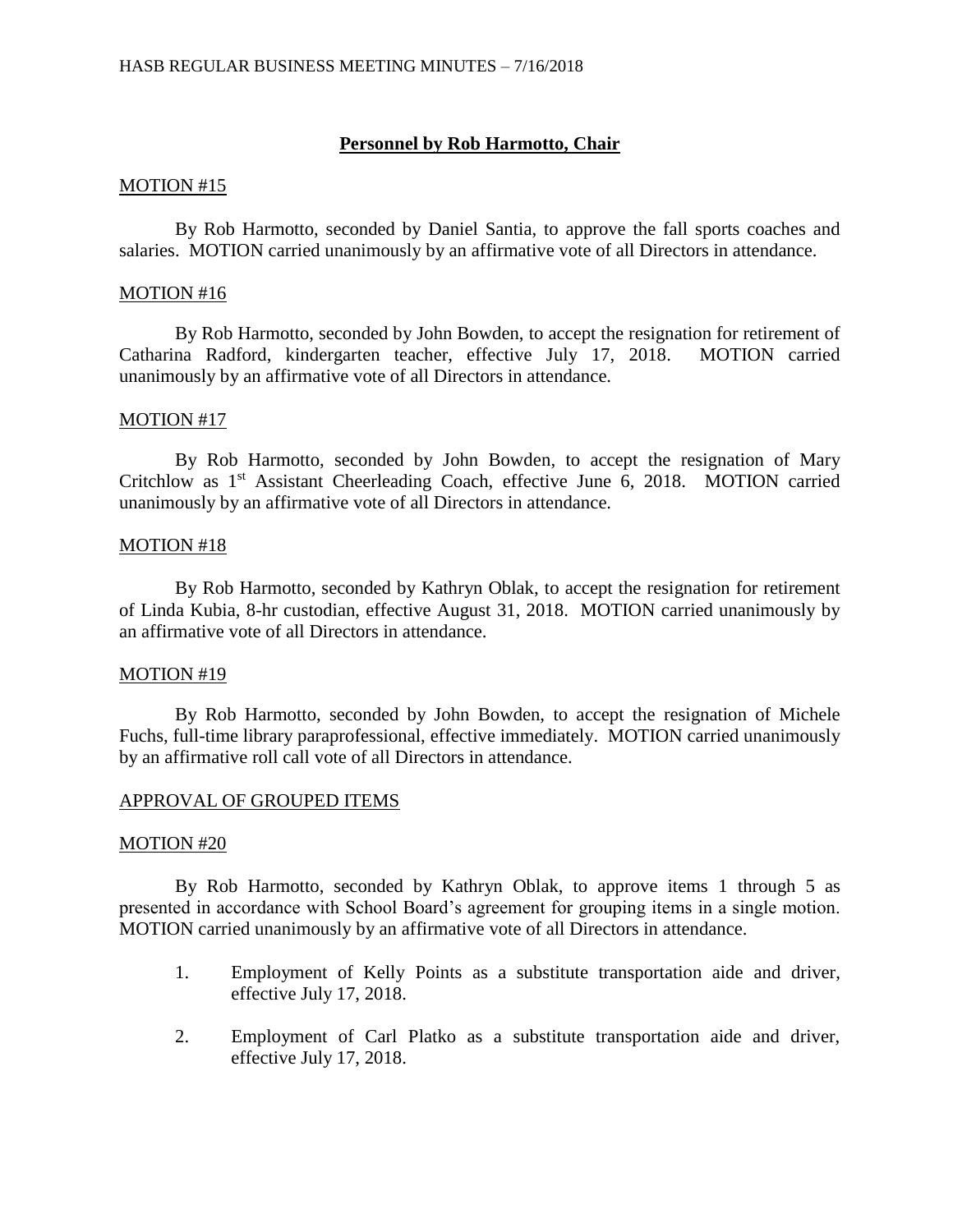# **Personnel by Rob Harmotto, Chair**

## MOTION #15

By Rob Harmotto, seconded by Daniel Santia, to approve the fall sports coaches and salaries. MOTION carried unanimously by an affirmative vote of all Directors in attendance.

## MOTION #16

By Rob Harmotto, seconded by John Bowden, to accept the resignation for retirement of Catharina Radford, kindergarten teacher, effective July 17, 2018. MOTION carried unanimously by an affirmative vote of all Directors in attendance.

# MOTION #17

By Rob Harmotto, seconded by John Bowden, to accept the resignation of Mary Critchlow as 1st Assistant Cheerleading Coach, effective June 6, 2018. MOTION carried unanimously by an affirmative vote of all Directors in attendance.

# MOTION #18

By Rob Harmotto, seconded by Kathryn Oblak, to accept the resignation for retirement of Linda Kubia, 8-hr custodian, effective August 31, 2018. MOTION carried unanimously by an affirmative vote of all Directors in attendance.

## MOTION #19

By Rob Harmotto, seconded by John Bowden, to accept the resignation of Michele Fuchs, full-time library paraprofessional, effective immediately. MOTION carried unanimously by an affirmative roll call vote of all Directors in attendance.

# APPROVAL OF GROUPED ITEMS

## MOTION #20

By Rob Harmotto, seconded by Kathryn Oblak, to approve items 1 through 5 as presented in accordance with School Board's agreement for grouping items in a single motion. MOTION carried unanimously by an affirmative vote of all Directors in attendance.

- 1. Employment of Kelly Points as a substitute transportation aide and driver, effective July 17, 2018.
- 2. Employment of Carl Platko as a substitute transportation aide and driver, effective July 17, 2018.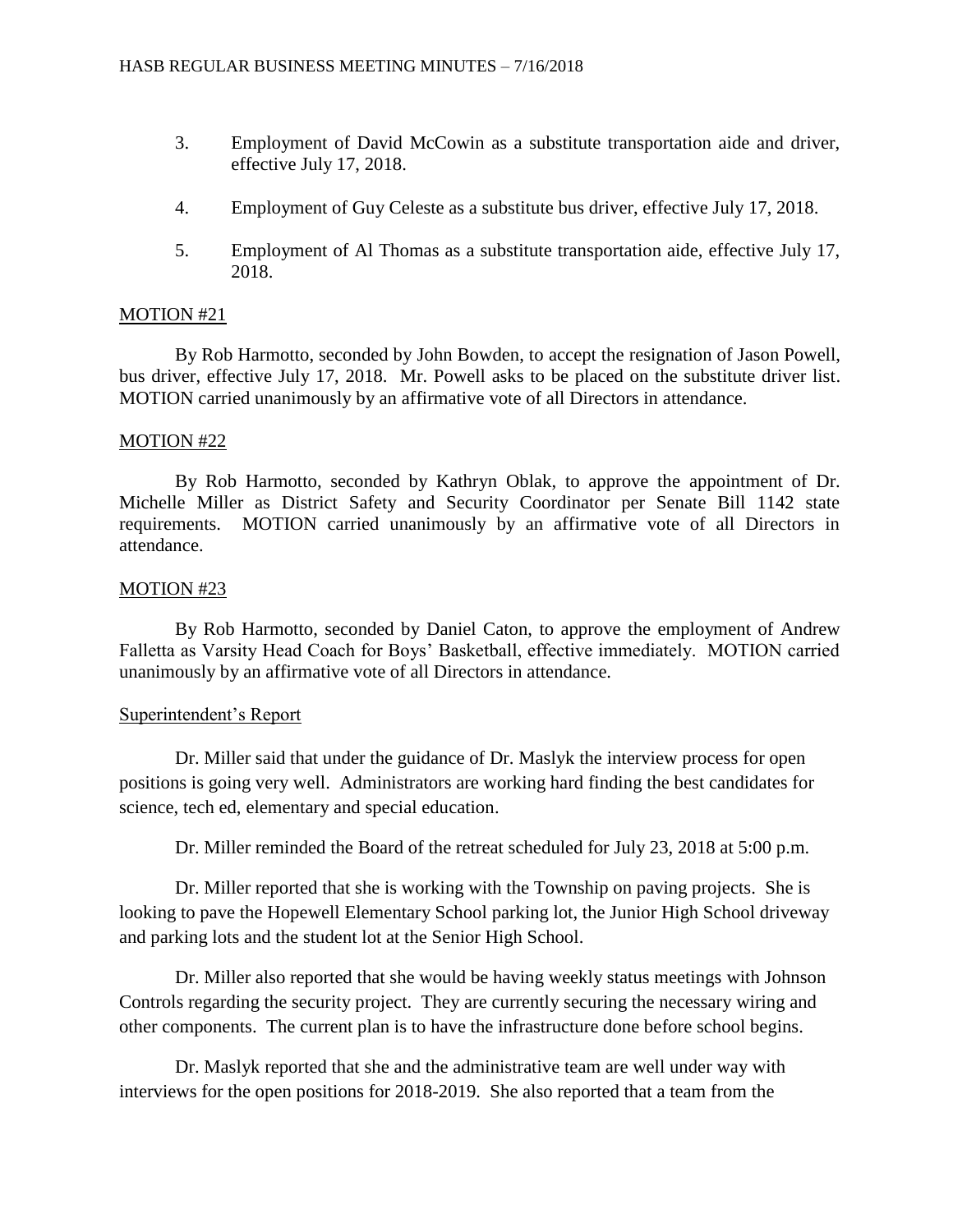- 3. Employment of David McCowin as a substitute transportation aide and driver, effective July 17, 2018.
- 4. Employment of Guy Celeste as a substitute bus driver, effective July 17, 2018.
- 5. Employment of Al Thomas as a substitute transportation aide, effective July 17, 2018.

# MOTION #21

By Rob Harmotto, seconded by John Bowden, to accept the resignation of Jason Powell, bus driver, effective July 17, 2018. Mr. Powell asks to be placed on the substitute driver list. MOTION carried unanimously by an affirmative vote of all Directors in attendance.

## MOTION #22

By Rob Harmotto, seconded by Kathryn Oblak, to approve the appointment of Dr. Michelle Miller as District Safety and Security Coordinator per Senate Bill 1142 state requirements. MOTION carried unanimously by an affirmative vote of all Directors in attendance.

# MOTION #23

By Rob Harmotto, seconded by Daniel Caton, to approve the employment of Andrew Falletta as Varsity Head Coach for Boys' Basketball, effective immediately. MOTION carried unanimously by an affirmative vote of all Directors in attendance.

## Superintendent's Report

Dr. Miller said that under the guidance of Dr. Maslyk the interview process for open positions is going very well. Administrators are working hard finding the best candidates for science, tech ed, elementary and special education.

Dr. Miller reminded the Board of the retreat scheduled for July 23, 2018 at 5:00 p.m.

Dr. Miller reported that she is working with the Township on paving projects. She is looking to pave the Hopewell Elementary School parking lot, the Junior High School driveway and parking lots and the student lot at the Senior High School.

Dr. Miller also reported that she would be having weekly status meetings with Johnson Controls regarding the security project. They are currently securing the necessary wiring and other components. The current plan is to have the infrastructure done before school begins.

Dr. Maslyk reported that she and the administrative team are well under way with interviews for the open positions for 2018-2019. She also reported that a team from the